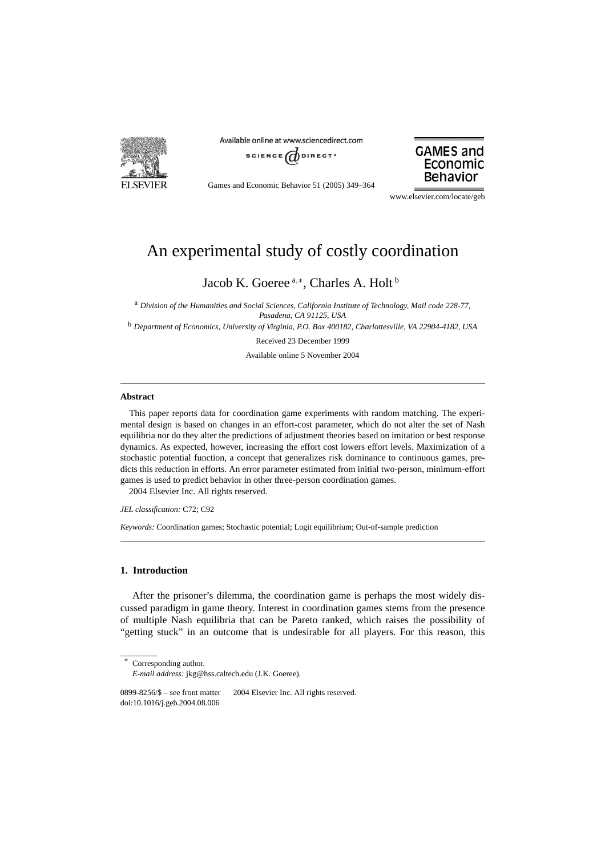

Available online at www.sciencedirect.com





Games and Economic Behavior 51 (2005) 349–364

www.elsevier.com/locate/geb

# An experimental study of costly coordination

Jacob K. Goeree<sup>a,∗</sup>, Charles A. Holt <sup>b</sup>

<sup>a</sup> *Division of the Humanities and Social Sciences, California Institute of Technology, Mail code 228-77, Pasadena, CA 91125, USA*

<sup>b</sup> *Department of Economics, University of Virginia, P.O. Box 400182, Charlottesville, VA 22904-4182, USA*

Received 23 December 1999

Available online 5 November 2004

## **Abstract**

This paper reports data for coordination game experiments with random matching. The experimental design is based on changes in an effort-cost parameter, which do not alter the set of Nash equilibria nor do they alter the predictions of adjustment theories based on imitation or best response dynamics. As expected, however, increasing the effort cost lowers effort levels. Maximization of a stochastic potential function, a concept that generalizes risk dominance to continuous games, predicts this reduction in efforts. An error parameter estimated from initial two-person, minimum-effort games is used to predict behavior in other three-person coordination games. 2004 Elsevier Inc. All rights reserved.

*JEL classification:* C72; C92

*Keywords:* Coordination games; Stochastic potential; Logit equilibrium; Out-of-sample prediction

## **1. Introduction**

After the prisoner's dilemma, the coordination game is perhaps the most widely discussed paradigm in game theory. Interest in coordination games stems from the presence of multiple Nash equilibria that can be Pareto ranked, which raises the possibility of "getting stuck" in an outcome that is undesirable for all players. For this reason, this

Corresponding author. *E-mail address:* jkg@hss.caltech.edu (J.K. Goeree).

0899-8256/\$ – see front matter  $\odot$  2004 Elsevier Inc. All rights reserved. doi:10.1016/j.geb.2004.08.006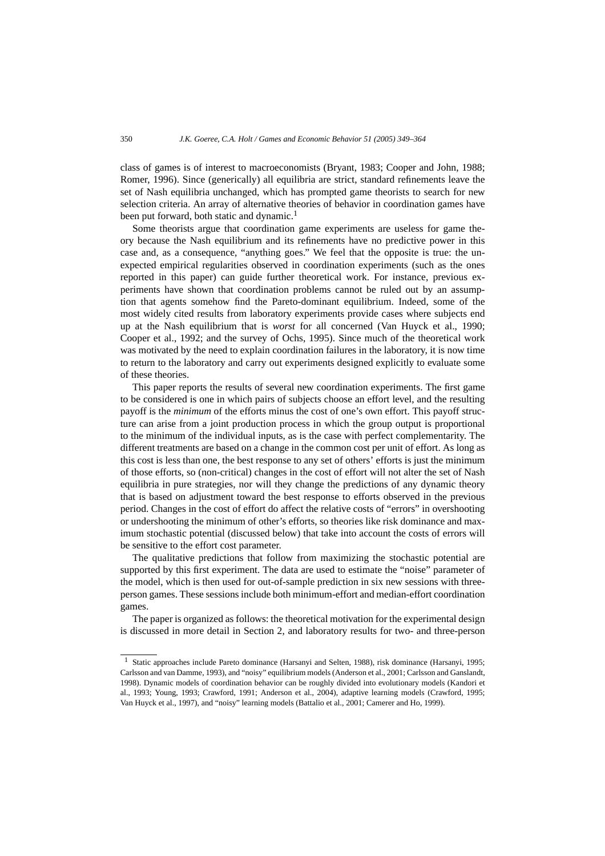class of games is of interest to macroeconomists (Bryant, 1983; Cooper and John, 1988; Romer, 1996). Since (generically) all equilibria are strict, standard refinements leave the set of Nash equilibria unchanged, which has prompted game theorists to search for new selection criteria. An array of alternative theories of behavior in coordination games have been put forward, both static and dynamic.<sup>1</sup>

Some theorists argue that coordination game experiments are useless for game theory because the Nash equilibrium and its refinements have no predictive power in this case and, as a consequence, "anything goes." We feel that the opposite is true: the unexpected empirical regularities observed in coordination experiments (such as the ones reported in this paper) can guide further theoretical work. For instance, previous experiments have shown that coordination problems cannot be ruled out by an assumption that agents somehow find the Pareto-dominant equilibrium. Indeed, some of the most widely cited results from laboratory experiments provide cases where subjects end up at the Nash equilibrium that is *worst* for all concerned (Van Huyck et al., 1990; Cooper et al., 1992; and the survey of Ochs, 1995). Since much of the theoretical work was motivated by the need to explain coordination failures in the laboratory, it is now time to return to the laboratory and carry out experiments designed explicitly to evaluate some of these theories.

This paper reports the results of several new coordination experiments. The first game to be considered is one in which pairs of subjects choose an effort level, and the resulting payoff is the *minimum* of the efforts minus the cost of one's own effort. This payoff structure can arise from a joint production process in which the group output is proportional to the minimum of the individual inputs, as is the case with perfect complementarity. The different treatments are based on a change in the common cost per unit of effort. As long as this cost is less than one, the best response to any set of others' efforts is just the minimum of those efforts, so (non-critical) changes in the cost of effort will not alter the set of Nash equilibria in pure strategies, nor will they change the predictions of any dynamic theory that is based on adjustment toward the best response to efforts observed in the previous period. Changes in the cost of effort do affect the relative costs of "errors" in overshooting or undershooting the minimum of other's efforts, so theories like risk dominance and maximum stochastic potential (discussed below) that take into account the costs of errors will be sensitive to the effort cost parameter.

The qualitative predictions that follow from maximizing the stochastic potential are supported by this first experiment. The data are used to estimate the "noise" parameter of the model, which is then used for out-of-sample prediction in six new sessions with threeperson games. These sessions include both minimum-effort and median-effort coordination games.

The paper is organized as follows: the theoretical motivation for the experimental design is discussed in more detail in Section 2, and laboratory results for two- and three-person

<sup>&</sup>lt;sup>1</sup> Static approaches include Pareto dominance (Harsanyi and Selten, 1988), risk dominance (Harsanyi, 1995; Carlsson and van Damme, 1993), and "noisy" equilibrium models (Anderson et al., 2001; Carlsson and Ganslandt, 1998). Dynamic models of coordination behavior can be roughly divided into evolutionary models (Kandori et al., 1993; Young, 1993; Crawford, 1991; Anderson et al., 2004), adaptive learning models (Crawford, 1995; Van Huyck et al., 1997), and "noisy" learning models (Battalio et al., 2001; Camerer and Ho, 1999).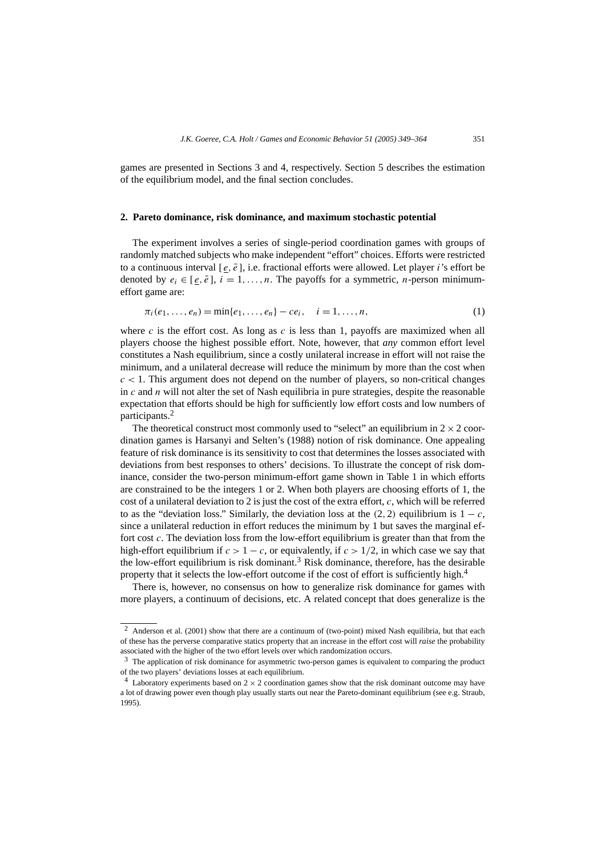games are presented in Sections 3 and 4, respectively. Section 5 describes the estimation of the equilibrium model, and the final section concludes.

## **2. Pareto dominance, risk dominance, and maximum stochastic potential**

The experiment involves a series of single-period coordination games with groups of randomly matched subjects who make independent "effort" choices. Efforts were restricted to a continuous interval  $[e, \overline{e}]$ , i.e. fractional efforts were allowed. Let player *i*'s effort be denoted by  $e_i \in [e, \overline{e}]$ ,  $i = 1, \ldots, n$ . The payoffs for a symmetric, *n*-person minimumeffort game are:

$$
\pi_i(e_1, \ldots, e_n) = \min\{e_1, \ldots, e_n\} - ce_i, \quad i = 1, \ldots, n,
$$
\n(1)

where  $c$  is the effort cost. As long as  $c$  is less than 1, payoffs are maximized when all players choose the highest possible effort. Note, however, that *any* common effort level constitutes a Nash equilibrium, since a costly unilateral increase in effort will not raise the minimum, and a unilateral decrease will reduce the minimum by more than the cost when  $c < 1$ . This argument does not depend on the number of players, so non-critical changes in *c* and *n* will not alter the set of Nash equilibria in pure strategies, despite the reasonable expectation that efforts should be high for sufficiently low effort costs and low numbers of participants.2

The theoretical construct most commonly used to "select" an equilibrium in  $2 \times 2$  coordination games is Harsanyi and Selten's (1988) notion of risk dominance. One appealing feature of risk dominance is its sensitivity to cost that determines the losses associated with deviations from best responses to others' decisions. To illustrate the concept of risk dominance, consider the two-person minimum-effort game shown in Table 1 in which efforts are constrained to be the integers 1 or 2. When both players are choosing efforts of 1, the cost of a unilateral deviation to 2 is just the cost of the extra effort, *c*, which will be referred to as the "deviation loss." Similarly, the deviation loss at the  $(2, 2)$  equilibrium is  $1 - c$ , since a unilateral reduction in effort reduces the minimum by 1 but saves the marginal effort cost *c*. The deviation loss from the low-effort equilibrium is greater than that from the high-effort equilibrium if  $c > 1 - c$ , or equivalently, if  $c > 1/2$ , in which case we say that the low-effort equilibrium is risk dominant.<sup>3</sup> Risk dominance, therefore, has the desirable property that it selects the low-effort outcome if the cost of effort is sufficiently high.<sup>4</sup>

There is, however, no consensus on how to generalize risk dominance for games with more players, a continuum of decisions, etc. A related concept that does generalize is the

<sup>&</sup>lt;sup>2</sup> Anderson et al. (2001) show that there are a continuum of (two-point) mixed Nash equilibria, but that each of these has the perverse comparative statics property that an increase in the effort cost will *raise* the probability associated with the higher of the two effort levels over which randomization occurs.

 $3$  The application of risk dominance for asymmetric two-person games is equivalent to comparing the product of the two players' deviations losses at each equilibrium.

<sup>&</sup>lt;sup>4</sup> Laboratory experiments based on  $2 \times 2$  coordination games show that the risk dominant outcome may have a lot of drawing power even though play usually starts out near the Pareto-dominant equilibrium (see e.g. Straub, 1995).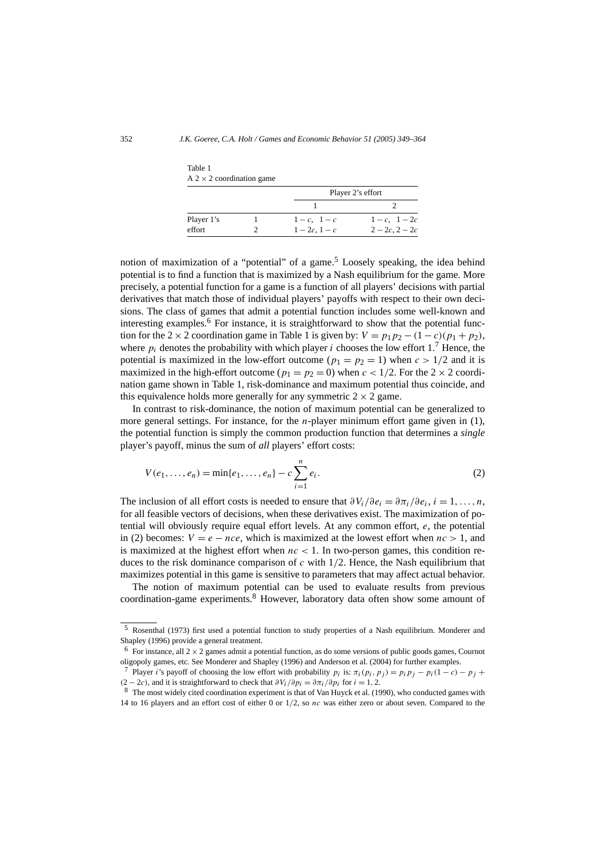|            |  |               | Player 2's effort |  |  |
|------------|--|---------------|-------------------|--|--|
|            |  |               |                   |  |  |
| Player 1's |  | $1-c$ , $1-c$ | $1-c$ , $1-2c$    |  |  |
| effort     |  | $1-2c, 1-c$   | $2-2c$ , $2-2c$   |  |  |

Table 1  $A$  2  $\times$  2 coordination game

notion of maximization of a "potential" of a game.<sup>5</sup> Loosely speaking, the idea behind potential is to find a function that is maximized by a Nash equilibrium for the game. More precisely, a potential function for a game is a function of all players' decisions with partial derivatives that match those of individual players' payoffs with respect to their own decisions. The class of games that admit a potential function includes some well-known and interesting examples.<sup>6</sup> For instance, it is straightforward to show that the potential function for the 2 × 2 coordination game in Table 1 is given by:  $V = p_1 p_2 - (1 - c)(p_1 + p_2)$ , where  $p_i$  denotes the probability with which player *i* chooses the low effort 1.<sup>7</sup> Hence, the potential is maximized in the low-effort outcome ( $p_1 = p_2 = 1$ ) when  $c > 1/2$  and it is maximized in the high-effort outcome ( $p_1 = p_2 = 0$ ) when  $c < 1/2$ . For the  $2 \times 2$  coordination game shown in Table 1, risk-dominance and maximum potential thus coincide, and this equivalence holds more generally for any symmetric  $2 \times 2$  game.

In contrast to risk-dominance, the notion of maximum potential can be generalized to more general settings. For instance, for the *n*-player minimum effort game given in (1), the potential function is simply the common production function that determines a *single* player's payoff, minus the sum of *all* players' effort costs:

$$
V(e_1, ..., e_n) = \min\{e_1, ..., e_n\} - c \sum_{i=1}^n e_i.
$$
 (2)

The inclusion of all effort costs is needed to ensure that  $\frac{\partial V_i}{\partial e_i} = \frac{\partial \pi_i}{\partial e_i}$ ,  $i = 1, \ldots, n$ , for all feasible vectors of decisions, when these derivatives exist. The maximization of potential will obviously require equal effort levels. At any common effort, *e*, the potential in (2) becomes:  $V = e - nce$ , which is maximized at the lowest effort when  $nc > 1$ , and is maximized at the highest effort when  $nc < 1$ . In two-person games, this condition reduces to the risk dominance comparison of *c* with 1*/*2. Hence, the Nash equilibrium that maximizes potential in this game is sensitive to parameters that may affect actual behavior.

The notion of maximum potential can be used to evaluate results from previous coordination-game experiments.<sup>8</sup> However, laboratory data often show some amount of

<sup>5</sup> Rosenthal (1973) first used a potential function to study properties of a Nash equilibrium. Monderer and Shapley (1996) provide a general treatment.

<sup>&</sup>lt;sup>6</sup> For instance, all  $2 \times 2$  games admit a potential function, as do some versions of public goods games, Cournot oligopoly games, etc. See Monderer and Shapley (1996) and Anderson et al. (2004) for further examples.

<sup>&</sup>lt;sup>7</sup> Player *i*'s payoff of choosing the low effort with probability  $p_i$  is:  $\pi_i(p_i, p_j) = p_i p_j - p_i(1-c) - p_j +$  $(2 - 2c)$ , and it is straightforward to check that  $\partial V_i / \partial p_i = \partial \pi_i / \partial p_i$  for  $i = 1, 2$ .

<sup>8</sup> The most widely cited coordination experiment is that of Van Huyck et al. (1990), who conducted games with 14 to 16 players and an effort cost of either 0 or 1*/*2, so *nc* was either zero or about seven. Compared to the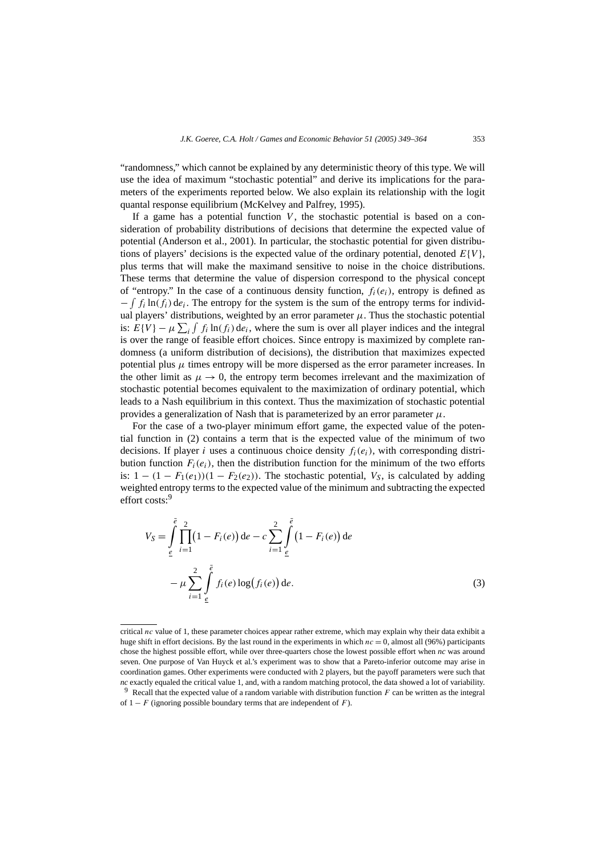"randomness," which cannot be explained by any deterministic theory of this type. We will use the idea of maximum "stochastic potential" and derive its implications for the parameters of the experiments reported below. We also explain its relationship with the logit quantal response equilibrium (McKelvey and Palfrey, 1995).

If a game has a potential function  $V$ , the stochastic potential is based on a consideration of probability distributions of decisions that determine the expected value of potential (Anderson et al., 2001). In particular, the stochastic potential for given distributions of players' decisions is the expected value of the ordinary potential, denoted  $E{V}$ . plus terms that will make the maximand sensitive to noise in the choice distributions. These terms that determine the value of dispersion correspond to the physical concept of "entropy." In the case of a continuous density function,  $f_i(e_i)$ , entropy is defined as  $-\int f_i \ln(f_i) \, de_i$ . The entropy for the system is the sum of the entropy terms for individual players' distributions, weighted by an error parameter  $\mu$ . Thus the stochastic potential is:  $E\{V\} - \mu \sum_i \int f_i \ln(f_i) \, de_i$ , where the sum is over all player indices and the integral is over the range of feasible effort choices. Since entropy is maximized by complete randomness (a uniform distribution of decisions), the distribution that maximizes expected potential plus  $\mu$  times entropy will be more dispersed as the error parameter increases. In the other limit as  $\mu \to 0$ , the entropy term becomes irrelevant and the maximization of stochastic potential becomes equivalent to the maximization of ordinary potential, which leads to a Nash equilibrium in this context. Thus the maximization of stochastic potential provides a generalization of Nash that is parameterized by an error parameter  $\mu$ .

For the case of a two-player minimum effort game, the expected value of the potential function in (2) contains a term that is the expected value of the minimum of two decisions. If player *i* uses a continuous choice density  $f_i(e_i)$ , with corresponding distribution function  $F_i(e_i)$ , then the distribution function for the minimum of the two efforts is:  $1 - (1 - F_1(e_1))(1 - F_2(e_2))$ . The stochastic potential,  $V_S$ , is calculated by adding weighted entropy terms to the expected value of the minimum and subtracting the expected effort costs:<sup>9</sup>

$$
V_S = \int_{\underline{e}}^{\overline{e}} \prod_{i=1}^{2} (1 - F_i(e)) de - c \sum_{i=1}^{2} \int_{\underline{e}}^{\overline{e}} (1 - F_i(e)) de
$$
  

$$
- \mu \sum_{i=1}^{2} \int_{\underline{e}}^{\overline{e}} f_i(e) \log(f_i(e)) de.
$$
 (3)

critical *nc* value of 1, these parameter choices appear rather extreme, which may explain why their data exhibit a huge shift in effort decisions. By the last round in the experiments in which  $nc = 0$ , almost all (96%) participants chose the highest possible effort, while over three-quarters chose the lowest possible effort when *nc* was around seven. One purpose of Van Huyck et al.'s experiment was to show that a Pareto-inferior outcome may arise in coordination games. Other experiments were conducted with 2 players, but the payoff parameters were such that *nc* exactly equaled the critical value 1, and, with a random matching protocol, the data showed a lot of variability.

<sup>9</sup> Recall that the expected value of a random variable with distribution function *F* can be written as the integral of  $1 - F$  (ignoring possible boundary terms that are independent of *F*).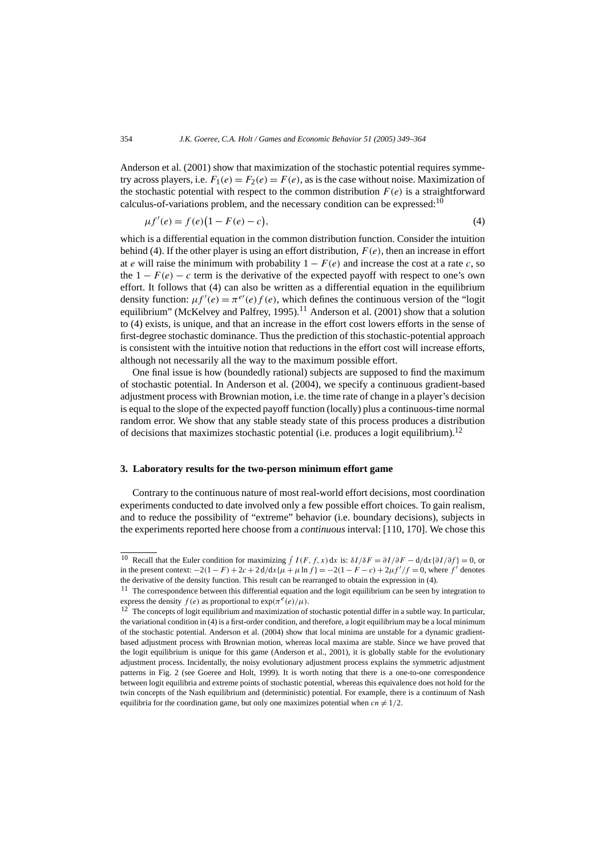Anderson et al. (2001) show that maximization of the stochastic potential requires symmetry across players, i.e.  $F_1(e) = F_2(e) = F(e)$ , as is the case without noise. Maximization of the stochastic potential with respect to the common distribution  $F(e)$  is a straightforward calculus-of-variations problem, and the necessary condition can be expressed:  $10$ 

$$
\mu f'(e) = f(e)(1 - F(e) - c),\tag{4}
$$

which is a differential equation in the common distribution function. Consider the intuition behind (4). If the other player is using an effort distribution,  $F(e)$ , then an increase in effort at *e* will raise the minimum with probability  $1 - F(e)$  and increase the cost at a rate *c*, so the  $1 - F(e) - c$  term is the derivative of the expected payoff with respect to one's own effort. It follows that (4) can also be written as a differential equation in the equilibrium density function:  $\mu f'(e) = \pi^{e'}(e) f(e)$ , which defines the continuous version of the "logit equilibrium" (McKelvey and Palfrey, 1995).<sup>11</sup> Anderson et al. (2001) show that a solution to (4) exists, is unique, and that an increase in the effort cost lowers efforts in the sense of first-degree stochastic dominance. Thus the prediction of this stochastic-potential approach is consistent with the intuitive notion that reductions in the effort cost will increase efforts, although not necessarily all the way to the maximum possible effort.

One final issue is how (boundedly rational) subjects are supposed to find the maximum of stochastic potential. In Anderson et al. (2004), we specify a continuous gradient-based adjustment process with Brownian motion, i.e. the time rate of change in a player's decision is equal to the slope of the expected payoff function (locally) plus a continuous-time normal random error. We show that any stable steady state of this process produces a distribution of decisions that maximizes stochastic potential (i.e. produces a logit equilibrium).<sup>12</sup>

## **3. Laboratory results for the two-person minimum effort game**

Contrary to the continuous nature of most real-world effort decisions, most coordination experiments conducted to date involved only a few possible effort choices. To gain realism, and to reduce the possibility of "extreme" behavior (i.e. boundary decisions), subjects in the experiments reported here choose from a *continuous* interval: [110, 170]. We chose this

<sup>&</sup>lt;sup>10</sup> Recall that the Euler condition for maximizing  $\int I(F, f, x) dx$  is:  $\delta I/\delta F = \partial I/\partial F - d/dx \{\partial I/\partial f\} = 0$ , or in the present context:  $-2(1 - F) + 2c + 2 d/dx$  {*µ* + *µ* ln *f*} = −2(1 − *F* − *c*) + 2*µf'* /*f* = 0, where *f'* denotes the derivative of the density function. This result can be rearranged to obtain the expression in (4).

 $11$  The correspondence between this differential equation and the logit equilibrium can be seen by integration to express the density  $f(e)$  as proportional to  $\exp(\pi^e(e)/\mu)$ .

 $12$  The concepts of logit equilibrium and maximization of stochastic potential differ in a subtle way. In particular, the variational condition in (4) is a first-order condition, and therefore, a logit equilibrium may be a local minimum of the stochastic potential. Anderson et al. (2004) show that local minima are unstable for a dynamic gradientbased adjustment process with Brownian motion, whereas local maxima are stable. Since we have proved that the logit equilibrium is unique for this game (Anderson et al., 2001), it is globally stable for the evolutionary adjustment process. Incidentally, the noisy evolutionary adjustment process explains the symmetric adjustment patterns in Fig. 2 (see Goeree and Holt, 1999). It is worth noting that there is a one-to-one correspondence between logit equilibria and extreme points of stochastic potential, whereas this equivalence does not hold for the twin concepts of the Nash equilibrium and (deterministic) potential. For example, there is a continuum of Nash equilibria for the coordination game, but only one maximizes potential when  $cn \neq 1/2$ .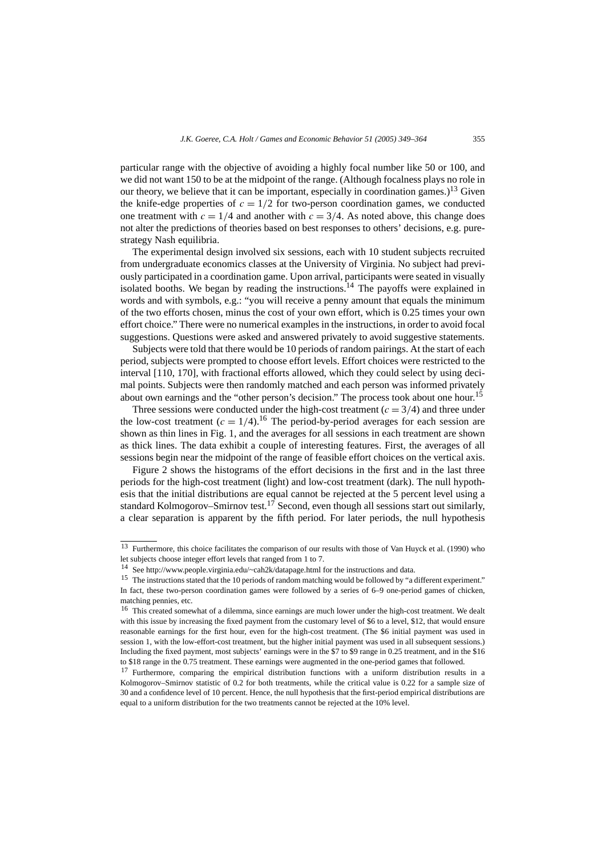particular range with the objective of avoiding a highly focal number like 50 or 100, and we did not want 150 to be at the midpoint of the range. (Although focalness plays no role in our theory, we believe that it can be important, especially in coordination games.)<sup>13</sup> Given the knife-edge properties of  $c = 1/2$  for two-person coordination games, we conducted one treatment with  $c = 1/4$  and another with  $c = 3/4$ . As noted above, this change does not alter the predictions of theories based on best responses to others' decisions, e.g. purestrategy Nash equilibria.

The experimental design involved six sessions, each with 10 student subjects recruited from undergraduate economics classes at the University of Virginia. No subject had previously participated in a coordination game. Upon arrival, participants were seated in visually isolated booths. We began by reading the instructions.<sup>14</sup> The payoffs were explained in words and with symbols, e.g.: "you will receive a penny amount that equals the minimum of the two efforts chosen, minus the cost of your own effort, which is 0.25 times your own effort choice." There were no numerical examples in the instructions, in order to avoid focal suggestions. Questions were asked and answered privately to avoid suggestive statements.

Subjects were told that there would be 10 periods of random pairings. At the start of each period, subjects were prompted to choose effort levels. Effort choices were restricted to the interval [110, 170], with fractional efforts allowed, which they could select by using decimal points. Subjects were then randomly matched and each person was informed privately about own earnings and the "other person's decision." The process took about one hour.<sup>15</sup>

Three sessions were conducted under the high-cost treatment  $(c = 3/4)$  and three under the low-cost treatment  $(c = 1/4)$ .<sup>16</sup> The period-by-period averages for each session are shown as thin lines in Fig. 1, and the averages for all sessions in each treatment are shown as thick lines. The data exhibit a couple of interesting features. First, the averages of all sessions begin near the midpoint of the range of feasible effort choices on the vertical axis.

Figure 2 shows the histograms of the effort decisions in the first and in the last three periods for the high-cost treatment (light) and low-cost treatment (dark). The null hypothesis that the initial distributions are equal cannot be rejected at the 5 percent level using a standard Kolmogorov–Smirnov test.<sup>17</sup> Second, even though all sessions start out similarly, a clear separation is apparent by the fifth period. For later periods, the null hypothesis

<sup>13</sup> Furthermore, this choice facilitates the comparison of our results with those of Van Huyck et al. (1990) who let subjects choose integer effort levels that ranged from 1 to 7.

<sup>14</sup> See http://www.people.virginia.edu/~cah2k/datapage.html for the instructions and data.

<sup>&</sup>lt;sup>15</sup> The instructions stated that the 10 periods of random matching would be followed by "a different experiment." In fact, these two-person coordination games were followed by a series of 6–9 one-period games of chicken, matching pennies, etc.

<sup>&</sup>lt;sup>16</sup> This created somewhat of a dilemma, since earnings are much lower under the high-cost treatment. We dealt with this issue by increasing the fixed payment from the customary level of \$6 to a level, \$12, that would ensure reasonable earnings for the first hour, even for the high-cost treatment. (The \$6 initial payment was used in session 1, with the low-effort-cost treatment, but the higher initial payment was used in all subsequent sessions.) Including the fixed payment, most subjects' earnings were in the \$7 to \$9 range in 0.25 treatment, and in the \$16 to \$18 range in the 0.75 treatment. These earnings were augmented in the one-period games that followed.

<sup>&</sup>lt;sup>17</sup> Furthermore, comparing the empirical distribution functions with a uniform distribution results in a Kolmogorov–Smirnov statistic of 0.2 for both treatments, while the critical value is 0.22 for a sample size of 30 and a confidence level of 10 percent. Hence, the null hypothesis that the first-period empirical distributions are equal to a uniform distribution for the two treatments cannot be rejected at the 10% level.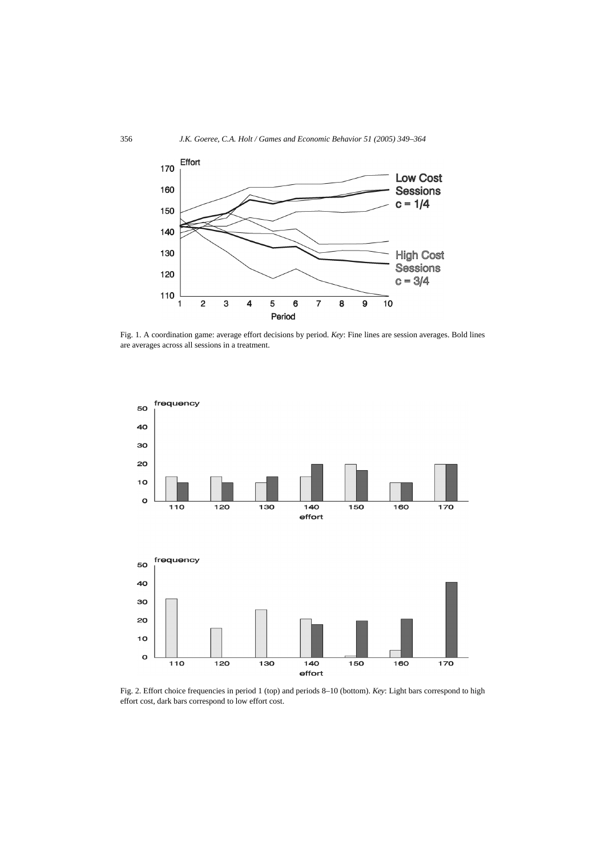

Fig. 1. A coordination game: average effort decisions by period. *Key*: Fine lines are session averages. Bold lines are averages across all sessions in a treatment.



Fig. 2. Effort choice frequencies in period 1 (top) and periods 8–10 (bottom). *Key*: Light bars correspond to high effort cost, dark bars correspond to low effort cost.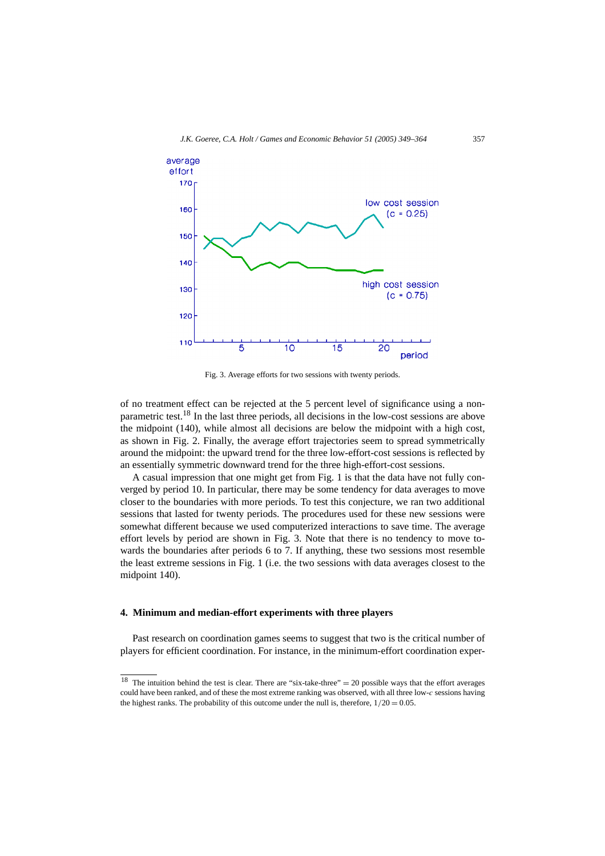

Fig. 3. Average efforts for two sessions with twenty periods.

of no treatment effect can be rejected at the 5 percent level of significance using a nonparametric test.18 In the last three periods, all decisions in the low-cost sessions are above the midpoint (140), while almost all decisions are below the midpoint with a high cost, as shown in Fig. 2. Finally, the average effort trajectories seem to spread symmetrically around the midpoint: the upward trend for the three low-effort-cost sessions is reflected by an essentially symmetric downward trend for the three high-effort-cost sessions.

A casual impression that one might get from Fig. 1 is that the data have not fully converged by period 10. In particular, there may be some tendency for data averages to move closer to the boundaries with more periods. To test this conjecture, we ran two additional sessions that lasted for twenty periods. The procedures used for these new sessions were somewhat different because we used computerized interactions to save time. The average effort levels by period are shown in Fig. 3. Note that there is no tendency to move towards the boundaries after periods 6 to 7. If anything, these two sessions most resemble the least extreme sessions in Fig. 1 (i.e. the two sessions with data averages closest to the midpoint 140).

#### **4. Minimum and median-effort experiments with three players**

Past research on coordination games seems to suggest that two is the critical number of players for efficient coordination. For instance, in the minimum-effort coordination exper-

<sup>&</sup>lt;sup>18</sup> The intuition behind the test is clear. There are "six-take-three" = 20 possible ways that the effort averages could have been ranked, and of these the most extreme ranking was observed, with all three low-*c* sessions having the highest ranks. The probability of this outcome under the null is, therefore,  $1/20 = 0.05$ .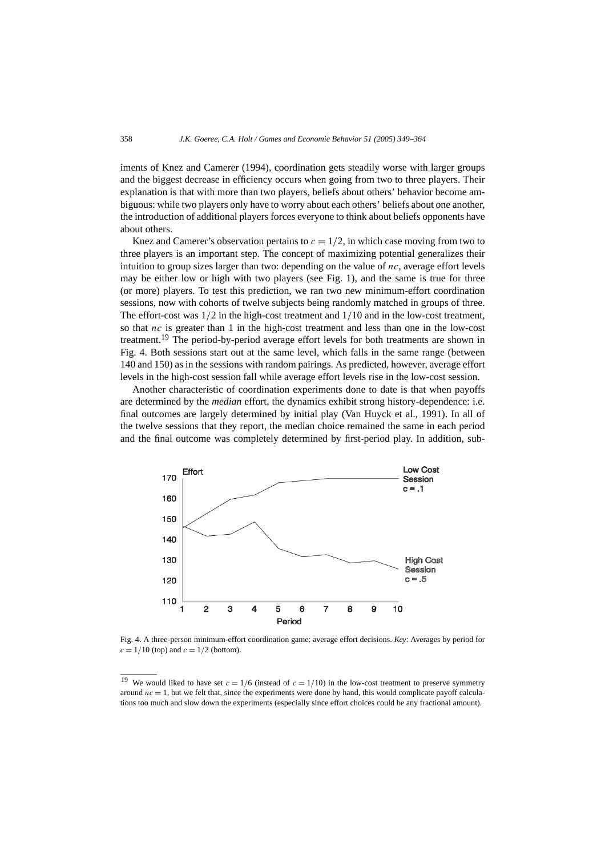iments of Knez and Camerer (1994), coordination gets steadily worse with larger groups and the biggest decrease in efficiency occurs when going from two to three players. Their explanation is that with more than two players, beliefs about others' behavior become ambiguous: while two players only have to worry about each others' beliefs about one another, the introduction of additional players forces everyone to think about beliefs opponents have about others.

Knez and Camerer's observation pertains to  $c = 1/2$ , in which case moving from two to three players is an important step. The concept of maximizing potential generalizes their intuition to group sizes larger than two: depending on the value of *nc*, average effort levels may be either low or high with two players (see Fig. 1), and the same is true for three (or more) players. To test this prediction, we ran two new minimum-effort coordination sessions, now with cohorts of twelve subjects being randomly matched in groups of three. The effort-cost was 1*/*2 in the high-cost treatment and 1*/*10 and in the low-cost treatment, so that *nc* is greater than 1 in the high-cost treatment and less than one in the low-cost treatment.<sup>19</sup> The period-by-period average effort levels for both treatments are shown in Fig. 4. Both sessions start out at the same level, which falls in the same range (between 140 and 150) as in the sessions with random pairings. As predicted, however, average effort levels in the high-cost session fall while average effort levels rise in the low-cost session.

Another characteristic of coordination experiments done to date is that when payoffs are determined by the *median* effort, the dynamics exhibit strong history-dependence: i.e. final outcomes are largely determined by initial play (Van Huyck et al., 1991). In all of the twelve sessions that they report, the median choice remained the same in each period and the final outcome was completely determined by first-period play. In addition, sub-



Fig. 4. A three-person minimum-effort coordination game: average effort decisions. *Key*: Averages by period for  $c = 1/10$  (top) and  $c = 1/2$  (bottom).

<sup>&</sup>lt;sup>19</sup> We would liked to have set  $c = 1/6$  (instead of  $c = 1/10$ ) in the low-cost treatment to preserve symmetry around  $nc = 1$ , but we felt that, since the experiments were done by hand, this would complicate payoff calculations too much and slow down the experiments (especially since effort choices could be any fractional amount).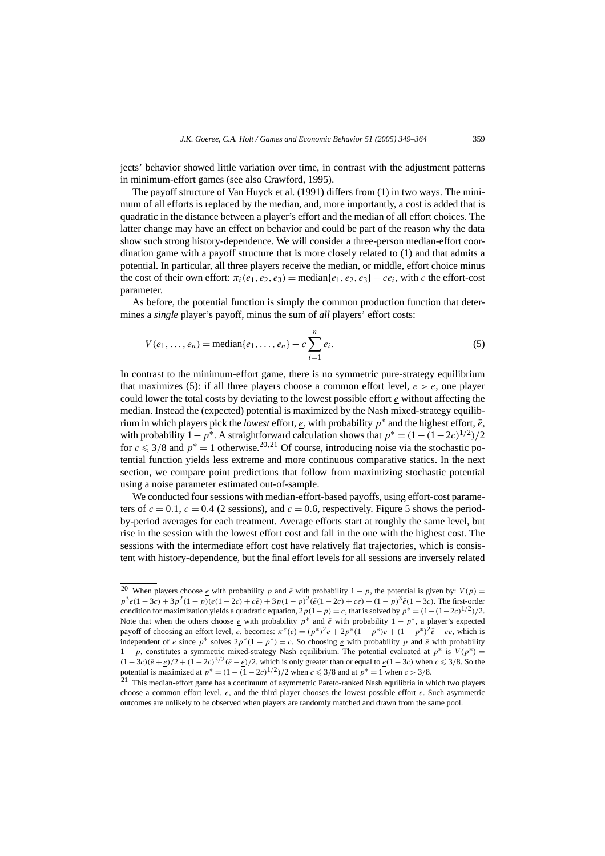jects' behavior showed little variation over time, in contrast with the adjustment patterns in minimum-effort games (see also Crawford, 1995).

The payoff structure of Van Huyck et al. (1991) differs from (1) in two ways. The minimum of all efforts is replaced by the median, and, more importantly, a cost is added that is quadratic in the distance between a player's effort and the median of all effort choices. The latter change may have an effect on behavior and could be part of the reason why the data show such strong history-dependence. We will consider a three-person median-effort coordination game with a payoff structure that is more closely related to (1) and that admits a potential. In particular, all three players receive the median, or middle, effort choice minus the cost of their own effort:  $\pi_i(e_1, e_2, e_3)$  = median $\{e_1, e_2, e_3\}$  – *ce<sub>i</sub>*, with *c* the effort-cost parameter.

As before, the potential function is simply the common production function that determines a *single* player's payoff, minus the sum of *all* players' effort costs:

$$
V(e_1, ..., e_n) = \text{median}\{e_1, ..., e_n\} - c \sum_{i=1}^n e_i.
$$
 (5)

In contrast to the minimum-effort game, there is no symmetric pure-strategy equilibrium that maximizes (5): if all three players choose a common effort level,  $e > e$ , one player could lower the total costs by deviating to the lowest possible effort *e* without affecting the median. Instead the (expected) potential is maximized by the Nash mixed-strategy equilibrium in which players pick the *lowest* effort, *e*, with probability  $p^*$  and the highest effort,  $\bar{e}$ , with probability  $1 - p^*$ . A straightforward calculation shows that  $p^* = (1 - (1 - 2c)^{1/2})/2$ for  $c \leq 3/8$  and  $p^* = 1$  otherwise.<sup>20,21</sup> Of course, introducing noise via the stochastic potential function yields less extreme and more continuous comparative statics. In the next section, we compare point predictions that follow from maximizing stochastic potential using a noise parameter estimated out-of-sample.

We conducted four sessions with median-effort-based payoffs, using effort-cost parameters of  $c = 0.1$ ,  $c = 0.4$  (2 sessions), and  $c = 0.6$ , respectively. Figure 5 shows the periodby-period averages for each treatment. Average efforts start at roughly the same level, but rise in the session with the lowest effort cost and fall in the one with the highest cost. The sessions with the intermediate effort cost have relatively flat trajectories, which is consistent with history-dependence, but the final effort levels for all sessions are inversely related

<sup>&</sup>lt;sup>20</sup> When players choose  $\underline{e}$  with probability *p* and  $\overline{e}$  with probability 1 − *p*, the potential is given by:  $V(p)$  =  $p^3e(1-3c) + 3p^2(1-p)(e(1-2c) + c\bar{e}) + 3p(1-p)^2(\bar{e}(1-2c) + ce) + (1-p)^3\bar{e}(1-3c)$ . The first-order condition for maximization yields a quadratic equation,  $2p(1-p) = c$ , that is solved by  $p^* = (1 - (1 - 2c)^{1/2})/2$ . Note that when the others choose *e* with probability  $p^*$  and  $\bar{e}$  with probability  $1 - p^*$ , a player's expected payoff of choosing an effort level, *e*, becomes:  $\pi^e(e) = (p^*)^2 \frac{e}{e} + 2p^*(1 - p^*)e + (1 - p^*)^2 \frac{e}{e} - ce$ , which is independent of *e* since  $p^*$  solves  $2p^*(1 - p^*) = c$ . So choosing *e* with probability *p* and  $\bar{e}$  with probability 1 − *p*, constitutes a symmetric mixed-strategy Nash equilibrium. The potential evaluated at  $p^*$  is  $V(p^*)$  =  $(1-3c)(\bar{e}+\underline{e})/2 + (1-2c)^{3/2}(\bar{e}-\underline{e})/2$ , which is only greater than or equal to  $\underline{e}(1-3c)$  when  $c \le 3/8$ . So the potential is maximized at  $p^* = (1 - (1 - 2c)^{1/2})/2$  when  $c \leq 3/8$  and at  $p^* = 1$  when  $c > 3/8$ .

<sup>21</sup> This median-effort game has a continuum of asymmetric Pareto-ranked Nash equilibria in which two players choose a common effort level, *e*, and the third player chooses the lowest possible effort *e*. Such asymmetric outcomes are unlikely to be observed when players are randomly matched and drawn from the same pool.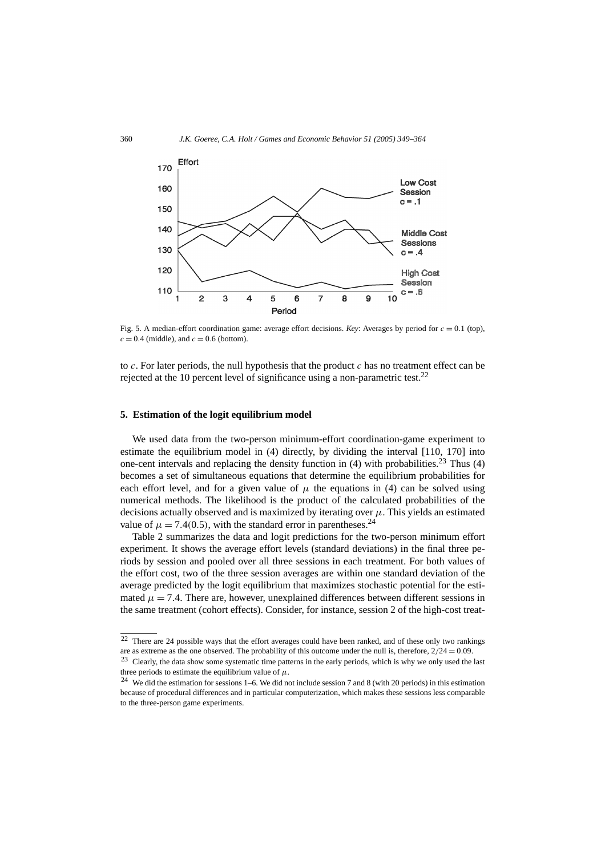

Fig. 5. A median-effort coordination game: average effort decisions. *Key*: Averages by period for  $c = 0.1$  (top),  $c = 0.4$  (middle), and  $c = 0.6$  (bottom).

to *c*. For later periods, the null hypothesis that the product *c* has no treatment effect can be rejected at the 10 percent level of significance using a non-parametric test.<sup>22</sup>

#### **5. Estimation of the logit equilibrium model**

We used data from the two-person minimum-effort coordination-game experiment to estimate the equilibrium model in (4) directly, by dividing the interval [110, 170] into one-cent intervals and replacing the density function in  $(4)$  with probabilities.<sup>23</sup> Thus  $(4)$ becomes a set of simultaneous equations that determine the equilibrium probabilities for each effort level, and for a given value of  $\mu$  the equations in (4) can be solved using numerical methods. The likelihood is the product of the calculated probabilities of the decisions actually observed and is maximized by iterating over  $\mu$ . This yields an estimated value of  $\mu = 7.4(0.5)$ , with the standard error in parentheses.<sup>24</sup>

Table 2 summarizes the data and logit predictions for the two-person minimum effort experiment. It shows the average effort levels (standard deviations) in the final three periods by session and pooled over all three sessions in each treatment. For both values of the effort cost, two of the three session averages are within one standard deviation of the average predicted by the logit equilibrium that maximizes stochastic potential for the estimated  $\mu = 7.4$ . There are, however, unexplained differences between different sessions in the same treatment (cohort effects). Consider, for instance, session 2 of the high-cost treat-

<sup>22</sup> There are 24 possible ways that the effort averages could have been ranked, and of these only two rankings are as extreme as the one observed. The probability of this outcome under the null is, therefore, 2*/*24 = 0*.*09.

<sup>&</sup>lt;sup>23</sup> Clearly, the data show some systematic time patterns in the early periods, which is why we only used the last three periods to estimate the equilibrium value of  $\mu$ .

<sup>&</sup>lt;sup>24</sup> We did the estimation for sessions 1–6. We did not include session 7 and 8 (with 20 periods) in this estimation because of procedural differences and in particular computerization, which makes these sessions less comparable to the three-person game experiments.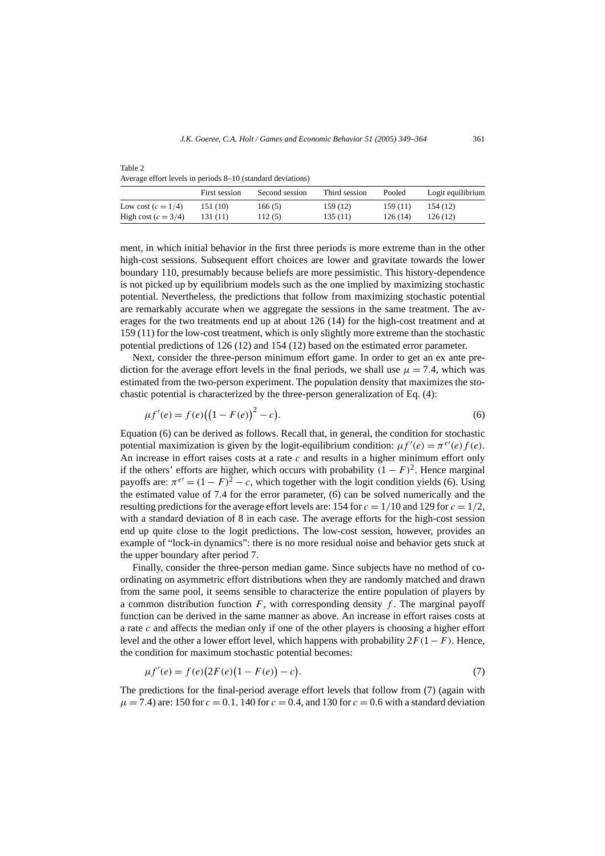|                       | First session | Second session | Third session | Pooled  | Logit equilibrium |
|-----------------------|---------------|----------------|---------------|---------|-------------------|
| Low cost $(c = 1/4)$  | 151 (10)      | 166(5)         | 159(12)       | 159(11) | 154 (12)          |
| High cost $(c = 3/4)$ | 131 (11)      | 112(5)         | 135(11)       | 126(14) | 126(12)           |

Table 2 Average effort levels in periods 8–10 (standard deviations)

ment, in which initial behavior in the first three periods is more extreme than in the other high-cost sessions. Subsequent effort choices are lower and gravitate towards the lower boundary 110, presumably because beliefs are more pessimistic. This history-dependence is not picked up by equilibrium models such as the one implied by maximizing stochastic potential. Nevertheless, the predictions that follow from maximizing stochastic potential are remarkably accurate when we aggregate the sessions in the same treatment. The averages for the two treatments end up at about 126 (14) for the high-cost treatment and at 159 (11) for the low-cost treatment, which is only slightly more extreme than the stochastic potential predictions of 126 (12) and 154 (12) based on the estimated error parameter.

Next, consider the three-person minimum effort game. In order to get an ex ante prediction for the average effort levels in the final periods, we shall use  $\mu = 7.4$ , which was estimated from the two-person experiment. The population density that maximizes the stochastic potential is characterized by the three-person generalization of Eq. (4):

$$
\mu f'(e) = f(e) \big( \big( 1 - F(e) \big)^2 - c \big). \tag{6}
$$

Equation (6) can be derived as follows. Recall that, in general, the condition for stochastic potential maximization is given by the logit-equilibrium condition:  $\mu f'(e) = \pi^{e'}(e) f(e)$ . An increase in effort raises costs at a rate *c* and results in a higher minimum effort only if the others' efforts are higher, which occurs with probability  $(1 - F)^2$ . Hence marginal payoffs are:  $\pi^{e'} = (1 - F)^2 - c$ , which together with the logit condition yields (6). Using the estimated value of 7.4 for the error parameter, (6) can be solved numerically and the resulting predictions for the average effort levels are: 154 for  $c = 1/10$  and 129 for  $c = 1/2$ , with a standard deviation of 8 in each case. The average efforts for the high-cost session end up quite close to the logit predictions. The low-cost session, however, provides an example of "lock-in dynamics": there is no more residual noise and behavior gets stuck at the upper boundary after period 7.

Finally, consider the three-person median game. Since subjects have no method of coordinating on asymmetric effort distributions when they are randomly matched and drawn from the same pool, it seems sensible to characterize the entire population of players by a common distribution function *F*, with corresponding density *f* . The marginal payoff function can be derived in the same manner as above. An increase in effort raises costs at a rate *c* and affects the median only if one of the other players is choosing a higher effort level and the other a lower effort level, which happens with probability  $2F(1 - F)$ . Hence, the condition for maximum stochastic potential becomes:

$$
\mu f'(e) = f(e)(2F(e)(1 - F(e)) - c). \tag{7}
$$

The predictions for the final-period average effort levels that follow from (7) (again with  $\mu = 7.4$ ) are: 150 for  $c = 0.1$ , 140 for  $c = 0.4$ , and 130 for  $c = 0.6$  with a standard deviation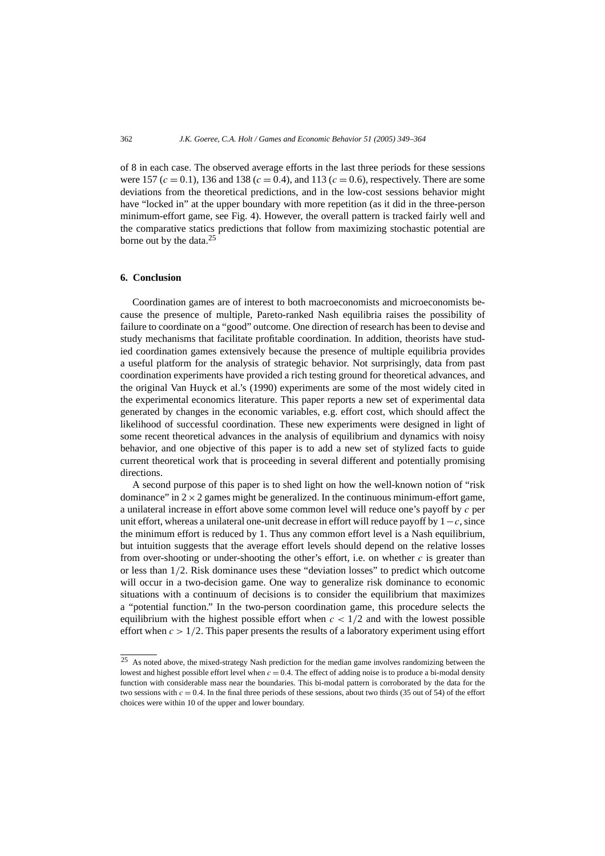of 8 in each case. The observed average efforts in the last three periods for these sessions were 157 ( $c = 0.1$ ), 136 and 138 ( $c = 0.4$ ), and 113 ( $c = 0.6$ ), respectively. There are some deviations from the theoretical predictions, and in the low-cost sessions behavior might have "locked in" at the upper boundary with more repetition (as it did in the three-person minimum-effort game, see Fig. 4). However, the overall pattern is tracked fairly well and the comparative statics predictions that follow from maximizing stochastic potential are borne out by the data. $25$ 

#### **6. Conclusion**

Coordination games are of interest to both macroeconomists and microeconomists because the presence of multiple, Pareto-ranked Nash equilibria raises the possibility of failure to coordinate on a "good" outcome. One direction of research has been to devise and study mechanisms that facilitate profitable coordination. In addition, theorists have studied coordination games extensively because the presence of multiple equilibria provides a useful platform for the analysis of strategic behavior. Not surprisingly, data from past coordination experiments have provided a rich testing ground for theoretical advances, and the original Van Huyck et al.'s (1990) experiments are some of the most widely cited in the experimental economics literature. This paper reports a new set of experimental data generated by changes in the economic variables, e.g. effort cost, which should affect the likelihood of successful coordination. These new experiments were designed in light of some recent theoretical advances in the analysis of equilibrium and dynamics with noisy behavior, and one objective of this paper is to add a new set of stylized facts to guide current theoretical work that is proceeding in several different and potentially promising directions.

A second purpose of this paper is to shed light on how the well-known notion of "risk dominance" in  $2 \times 2$  games might be generalized. In the continuous minimum-effort game, a unilateral increase in effort above some common level will reduce one's payoff by *c* per unit effort, whereas a unilateral one-unit decrease in effort will reduce payoff by 1−*c*, since the minimum effort is reduced by 1. Thus any common effort level is a Nash equilibrium, but intuition suggests that the average effort levels should depend on the relative losses from over-shooting or under-shooting the other's effort, i.e. on whether *c* is greater than or less than 1*/*2. Risk dominance uses these "deviation losses" to predict which outcome will occur in a two-decision game. One way to generalize risk dominance to economic situations with a continuum of decisions is to consider the equilibrium that maximizes a "potential function." In the two-person coordination game, this procedure selects the equilibrium with the highest possible effort when  $c < 1/2$  and with the lowest possible effort when  $c > 1/2$ . This paper presents the results of a laboratory experiment using effort

<sup>&</sup>lt;sup>25</sup> As noted above, the mixed-strategy Nash prediction for the median game involves randomizing between the lowest and highest possible effort level when  $c = 0.4$ . The effect of adding noise is to produce a bi-modal density function with considerable mass near the boundaries. This bi-modal pattern is corroborated by the data for the two sessions with  $c = 0.4$ . In the final three periods of these sessions, about two thirds (35 out of 54) of the effort choices were within 10 of the upper and lower boundary.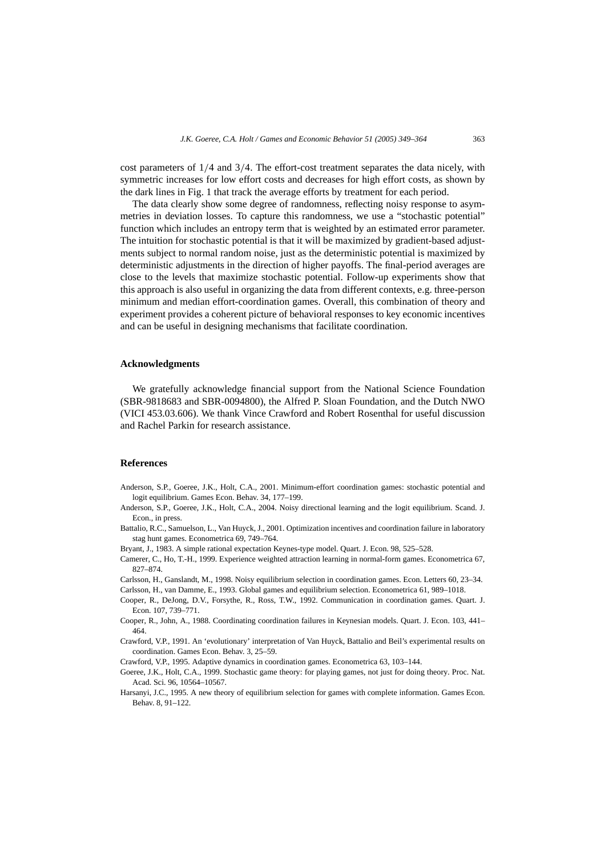cost parameters of 1*/*4 and 3*/*4. The effort-cost treatment separates the data nicely, with symmetric increases for low effort costs and decreases for high effort costs, as shown by the dark lines in Fig. 1 that track the average efforts by treatment for each period.

The data clearly show some degree of randomness, reflecting noisy response to asymmetries in deviation losses. To capture this randomness, we use a "stochastic potential" function which includes an entropy term that is weighted by an estimated error parameter. The intuition for stochastic potential is that it will be maximized by gradient-based adjustments subject to normal random noise, just as the deterministic potential is maximized by deterministic adjustments in the direction of higher payoffs. The final-period averages are close to the levels that maximize stochastic potential. Follow-up experiments show that this approach is also useful in organizing the data from different contexts, e.g. three-person minimum and median effort-coordination games. Overall, this combination of theory and experiment provides a coherent picture of behavioral responses to key economic incentives and can be useful in designing mechanisms that facilitate coordination.

#### **Acknowledgments**

We gratefully acknowledge financial support from the National Science Foundation (SBR-9818683 and SBR-0094800), the Alfred P. Sloan Foundation, and the Dutch NWO (VICI 453.03.606). We thank Vince Crawford and Robert Rosenthal for useful discussion and Rachel Parkin for research assistance.

## **References**

- Anderson, S.P., Goeree, J.K., Holt, C.A., 2001. Minimum-effort coordination games: stochastic potential and logit equilibrium. Games Econ. Behav. 34, 177–199.
- Anderson, S.P., Goeree, J.K., Holt, C.A., 2004. Noisy directional learning and the logit equilibrium. Scand. J. Econ., in press.
- Battalio, R.C., Samuelson, L., Van Huyck, J., 2001. Optimization incentives and coordination failure in laboratory stag hunt games. Econometrica 69, 749–764.
- Bryant, J., 1983. A simple rational expectation Keynes-type model. Quart. J. Econ. 98, 525–528.
- Camerer, C., Ho, T.-H., 1999. Experience weighted attraction learning in normal-form games. Econometrica 67, 827–874.
- Carlsson, H., Ganslandt, M., 1998. Noisy equilibrium selection in coordination games. Econ. Letters 60, 23–34.
- Carlsson, H., van Damme, E., 1993. Global games and equilibrium selection. Econometrica 61, 989–1018.
- Cooper, R., DeJong, D.V., Forsythe, R., Ross, T.W., 1992. Communication in coordination games. Quart. J. Econ. 107, 739–771.
- Cooper, R., John, A., 1988. Coordinating coordination failures in Keynesian models. Quart. J. Econ. 103, 441– 464.
- Crawford, V.P., 1991. An 'evolutionary' interpretation of Van Huyck, Battalio and Beil's experimental results on coordination. Games Econ. Behav. 3, 25–59.
- Crawford, V.P., 1995. Adaptive dynamics in coordination games. Econometrica 63, 103–144.
- Goeree, J.K., Holt, C.A., 1999. Stochastic game theory: for playing games, not just for doing theory. Proc. Nat. Acad. Sci. 96, 10564–10567.
- Harsanyi, J.C., 1995. A new theory of equilibrium selection for games with complete information. Games Econ. Behav. 8, 91–122.